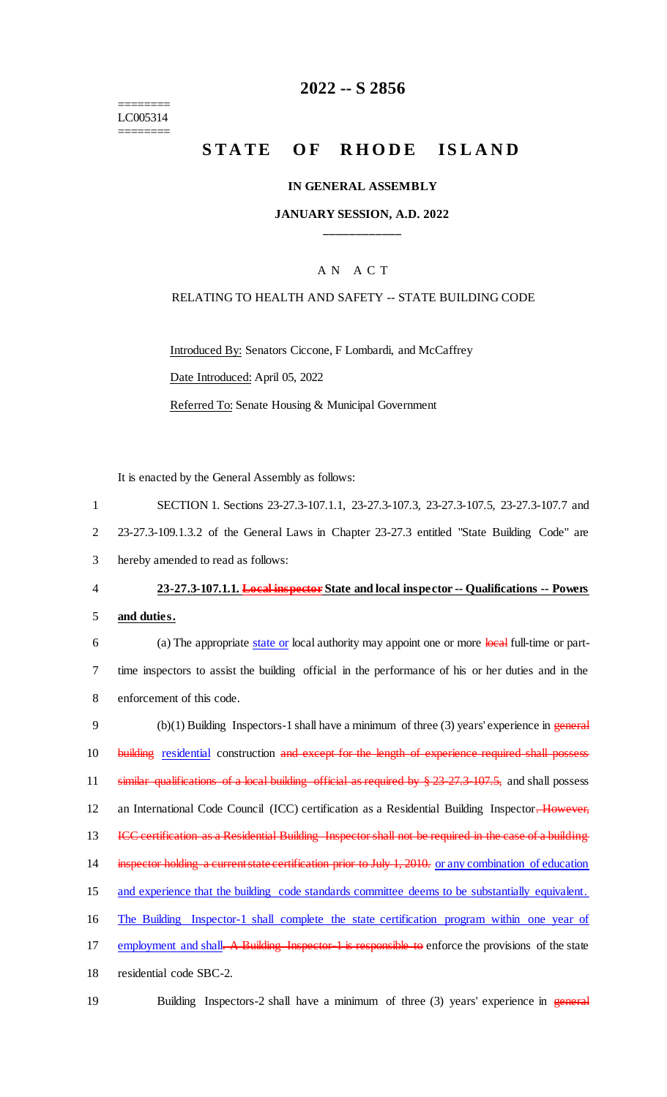======== LC005314 ========

# **2022 -- S 2856**

# STATE OF RHODE ISLAND

### **IN GENERAL ASSEMBLY**

### **JANUARY SESSION, A.D. 2022 \_\_\_\_\_\_\_\_\_\_\_\_**

# A N A C T

#### RELATING TO HEALTH AND SAFETY -- STATE BUILDING CODE

Introduced By: Senators Ciccone, F Lombardi, and McCaffrey Date Introduced: April 05, 2022 Referred To: Senate Housing & Municipal Government

It is enacted by the General Assembly as follows:

| 1              | SECTION 1. Sections 23-27.3-107.1.1, 23-27.3-107.3, 23-27.3-107.5, 23-27.3-107.7 and                              |
|----------------|-------------------------------------------------------------------------------------------------------------------|
| $\overline{2}$ | 23-27.3-109.1.3.2 of the General Laws in Chapter 23-27.3 entitled "State Building Code" are                       |
| 3              | hereby amended to read as follows:                                                                                |
| 4              | 23-27.3-107.1.1. Local inspector State and local inspector -- Qualifications -- Powers                            |
| 5              | and duties.                                                                                                       |
| 6              | (a) The appropriate state or local authority may appoint one or more local full-time or part-                     |
| $\tau$         | time inspectors to assist the building official in the performance of his or her duties and in the                |
| 8              | enforcement of this code.                                                                                         |
| 9              | $(b)(1)$ Building Inspectors-1 shall have a minimum of three (3) years' experience in general                     |
| 10             | building residential construction and except for the length of experience required shall possess                  |
| 11             | similar qualifications of a local building official as required by $\frac{8}{2}$ 23-27.3-107.5, and shall possess |
| 12             | an International Code Council (ICC) certification as a Residential Building Inspector-However,                    |
| 13             | ICC certification as a Residential Building Inspector shall not be required in the case of a building             |
| 14             | inspector holding a current state certification prior to July 1, 2010. or any combination of education            |
| 15             | and experience that the building code standards committee deems to be substantially equivalent.                   |
| 16             | The Building Inspector-1 shall complete the state certification program within one year of                        |
| 17             | employment and shall. A Building Inspector 1 is responsible to enforce the provisions of the state                |
| 18             | residential code SBC-2.                                                                                           |
| 19             | Building Inspectors-2 shall have a minimum of three $(3)$ years' experience in general                            |
|                |                                                                                                                   |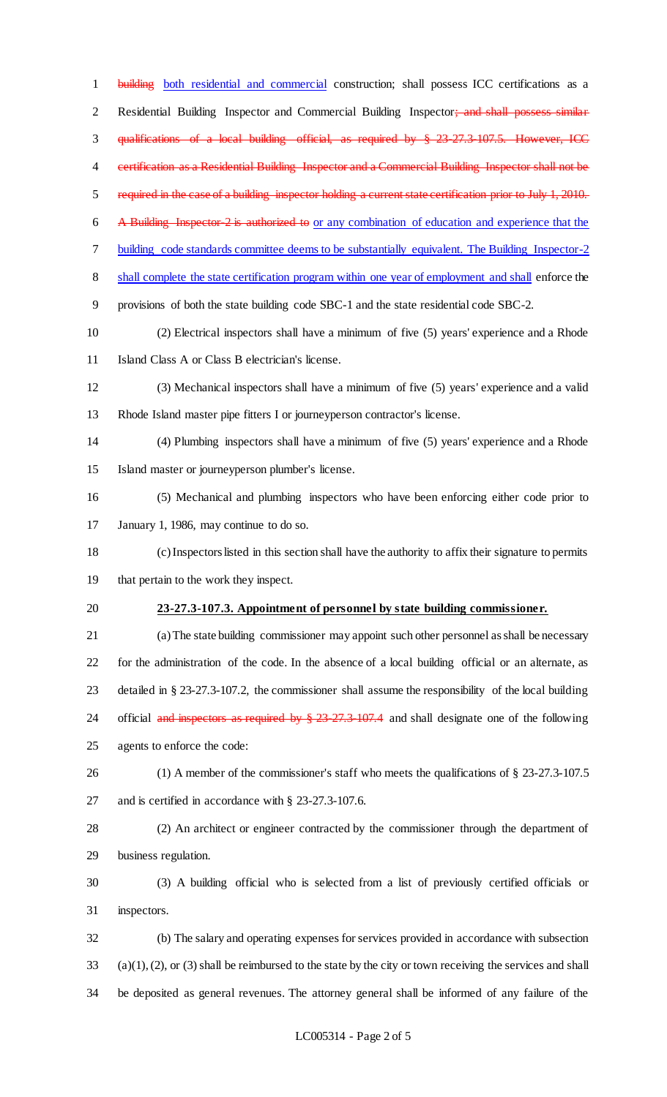1 building both residential and commercial construction; shall possess ICC certifications as a 2 Residential Building Inspector and Commercial Building Inspector; and shall possess similar qualifications of a local building official, as required by § 23-27.3-107.5. However, ICC 4 certification as a Residential Building Inspector and a Commercial Building Inspector shall not be required in the case of a building inspector holding a current state certification prior to July 1, 2010. A Building Inspector-2 is authorized to or any combination of education and experience that the building code standards committee deems to be substantially equivalent. The Building Inspector-2 shall complete the state certification program within one year of employment and shall enforce the provisions of both the state building code SBC-1 and the state residential code SBC-2. (2) Electrical inspectors shall have a minimum of five (5) years' experience and a Rhode Island Class A or Class B electrician's license. (3) Mechanical inspectors shall have a minimum of five (5) years' experience and a valid Rhode Island master pipe fitters I or journeyperson contractor's license. (4) Plumbing inspectors shall have a minimum of five (5) years' experience and a Rhode Island master or journeyperson plumber's license. (5) Mechanical and plumbing inspectors who have been enforcing either code prior to 17 January 1, 1986, may continue to do so. (c) Inspectors listed in this section shall have the authority to affix their signature to permits that pertain to the work they inspect. **23-27.3-107.3. Appointment of personnel by state building commissioner.** (a) The state building commissioner may appoint such other personnel as shall be necessary for the administration of the code. In the absence of a local building official or an alternate, as detailed in § 23-27.3-107.2, the commissioner shall assume the responsibility of the local building 24 official and inspectors as required by § 23-27.3-107.4 and shall designate one of the following agents to enforce the code: (1) A member of the commissioner's staff who meets the qualifications of § 23-27.3-107.5 and is certified in accordance with § 23-27.3-107.6. (2) An architect or engineer contracted by the commissioner through the department of business regulation. (3) A building official who is selected from a list of previously certified officials or inspectors. (b) The salary and operating expenses for services provided in accordance with subsection (a)(1), (2), or (3) shall be reimbursed to the state by the city or town receiving the services and shall

be deposited as general revenues. The attorney general shall be informed of any failure of the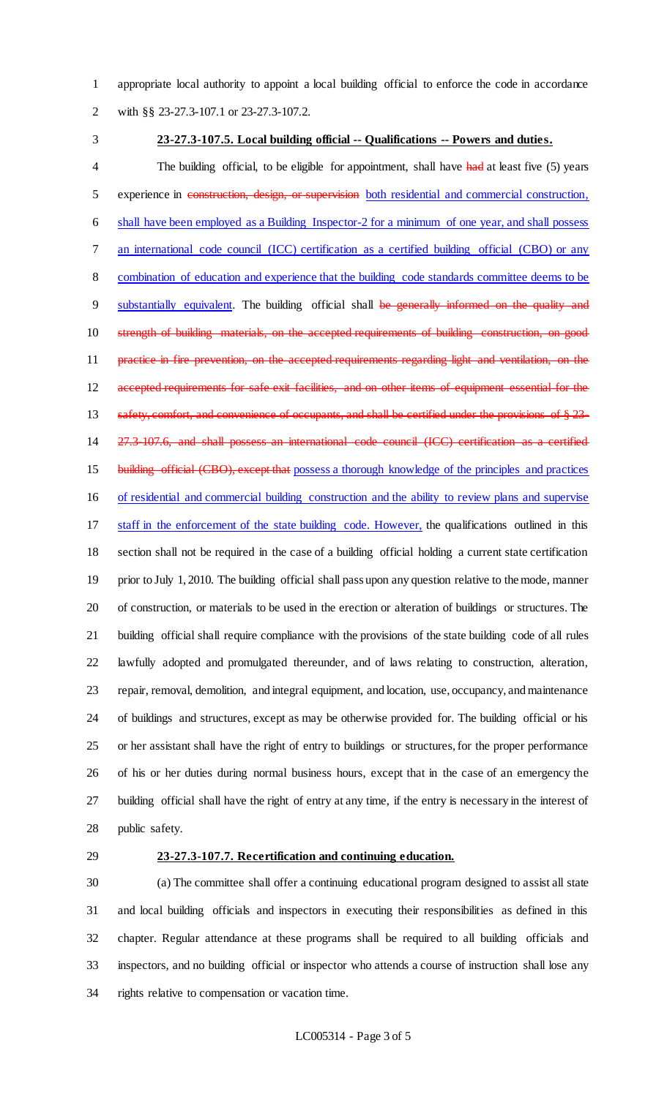appropriate local authority to appoint a local building official to enforce the code in accordance

with §§ 23-27.3-107.1 or 23-27.3-107.2.

#### **23-27.3-107.5. Local building official -- Qualifications -- Powers and duties.**

4 The building official, to be eligible for appointment, shall have had at least five (5) years 5 experience in construction, design, or supervision both residential and commercial construction, shall have been employed as a Building Inspector-2 for a minimum of one year, and shall possess an international code council (ICC) certification as a certified building official (CBO) or any combination of education and experience that the building code standards committee deems to be 9 substantially equivalent. The building official shall be generally informed on the quality and strength of building materials, on the accepted requirements of building construction, on good 11 practice in fire prevention, on the accepted requirements regarding light and ventilation, on the 12 accepted requirements for safe exit facilities, and on other items of equipment essential for the 13 safety, comfort, and convenience of occupants, and shall be certified under the provisions of § 23- 27.3-107.6, and shall possess an international code council (ICC) certification as a certified 15 building official (CBO), except that possess a thorough knowledge of the principles and practices of residential and commercial building construction and the ability to review plans and supervise staff in the enforcement of the state building code. However, the qualifications outlined in this section shall not be required in the case of a building official holding a current state certification prior to July 1, 2010. The building official shall pass upon any question relative to the mode, manner of construction, or materials to be used in the erection or alteration of buildings or structures. The building official shall require compliance with the provisions of the state building code of all rules lawfully adopted and promulgated thereunder, and of laws relating to construction, alteration, repair, removal, demolition, and integral equipment, and location, use, occupancy, and maintenance of buildings and structures, except as may be otherwise provided for. The building official or his or her assistant shall have the right of entry to buildings or structures, for the proper performance of his or her duties during normal business hours, except that in the case of an emergency the building official shall have the right of entry at any time, if the entry is necessary in the interest of public safety.

#### **23-27.3-107.7. Recertification and continuing education.**

 (a) The committee shall offer a continuing educational program designed to assist all state and local building officials and inspectors in executing their responsibilities as defined in this chapter. Regular attendance at these programs shall be required to all building officials and inspectors, and no building official or inspector who attends a course of instruction shall lose any rights relative to compensation or vacation time.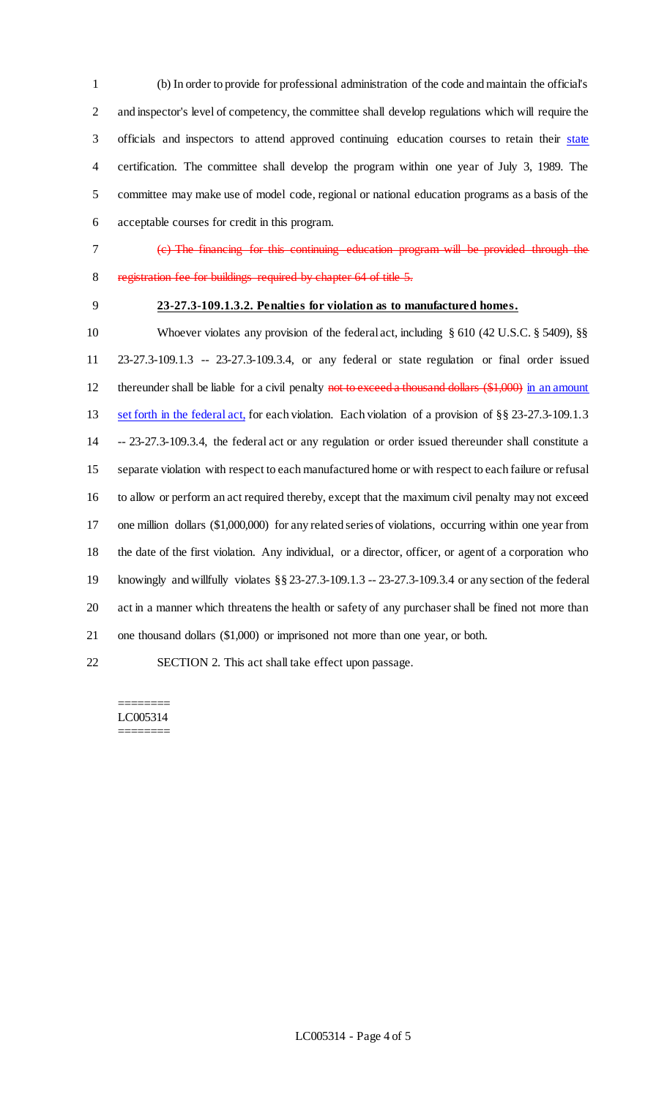(b) In order to provide for professional administration of the code and maintain the official's and inspector's level of competency, the committee shall develop regulations which will require the 3 officials and inspectors to attend approved continuing education courses to retain their state certification. The committee shall develop the program within one year of July 3, 1989. The committee may make use of model code, regional or national education programs as a basis of the acceptable courses for credit in this program.

(c) The financing for this continuing education program will be provided through the

registration fee for buildings required by chapter 64 of title 5.

# **23-27.3-109.1.3.2. Penalties for violation as to manufactured homes.**

10 Whoever violates any provision of the federal act, including § 610 (42 U.S.C. § 5409), §§ 23-27.3-109.1.3 -- 23-27.3-109.3.4, or any federal or state regulation or final order issued 12 thereunder shall be liable for a civil penalty not to exceed a thousand dollars (\$1,000) in an amount set forth in the federal act, for each violation. Each violation of a provision of §§ 23-27.3-109.1.3 -- 23-27.3-109.3.4, the federal act or any regulation or order issued thereunder shall constitute a separate violation with respect to each manufactured home or with respect to each failure or refusal to allow or perform an act required thereby, except that the maximum civil penalty may not exceed one million dollars (\$1,000,000) for any related series of violations, occurring within one year from the date of the first violation. Any individual, or a director, officer, or agent of a corporation who knowingly and willfully violates §§ 23-27.3-109.1.3 -- 23-27.3-109.3.4 or any section of the federal act in a manner which threatens the health or safety of any purchaser shall be fined not more than one thousand dollars (\$1,000) or imprisoned not more than one year, or both. SECTION 2. This act shall take effect upon passage.

#### ======== LC005314 ========

LC005314 - Page 4 of 5